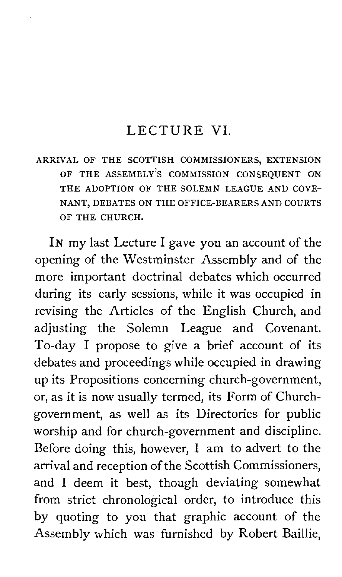#### LECTURE VI.

ARRIVAL OF THE SCOTTISH COMMISSIONERS, EXTENSION OF THE ASSEMBLY'S COMMISSION CONSEQUENT ON THE ADOPTION OF THE SOLEMN LEAGUE AND COVE-NANT, DEBATES ON THE OFFICE-BEARERS AND COURTS OF THE CHURCH.

IN my last Lecture I gave you an account of the opening of the Westminster Assembly and of the more important doctrinal debates which occurred during its early sessions, while it was occupied in revising the Articles of the English Church, and adjusting the Solemn League and Covenant. To-day I propose to give a brief account of its debates and proceedings while occupied in drawing up its Propositions concerning church-government, or, as it is now usually termed, its Form of Churchgovernment, as well as its Directories for public worship and for church-government and discipline. Before doing this, however, I am to advert to the arrival and reception of the Scottish Commissioners, and I deem it best, though deviating somewhat from strict chronological order, to introduce this by quoting to you that graphic account of the Assembly which was furnished by Robert Baillie,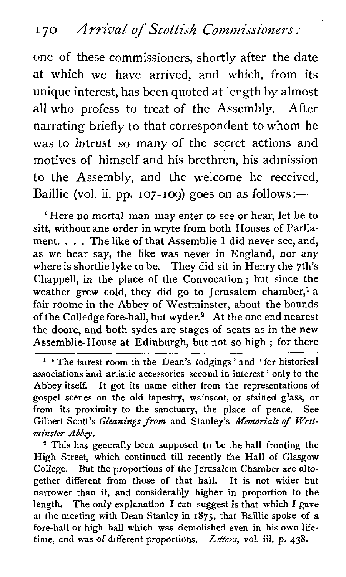one of these commissioners, shortly after the date at which we have arrived, and which, from its unique interest, has been quoted at length by almost all who profess to treat of the Assembly. After narrating briefly to that correspondent to whom he was to intrust so many of the secret actions and motives of himself and his brethren, his admission to the Assembly, and the welcome he received, Baillie (vol. ii. pp. 107-109) goes on as follows:-

' Here no mortal man may enter to see or hear, let be to sitt, without ane order in wryte from both Houses of Parliament. . . . The like of that Assemblie I did never see, and, as we hear say, the like was never in England, nor any where is shortlie lyke to be. They did sit in Henry the 7th's Chappell, in the place of the Convocation ; but since the weather grew cold, they did go to Jerusalem chamber,<sup>1</sup> a fair roome in the Abbey of Westminster, about the bounds of the Colledge fore-hall, but wyder.2 At the one end nearest the doore, and both sydes are stages of seats as in the new Assemblie-House at Edinburgh, but not so high ; for there

' The fairest room in the Dean's lodgings ' and ' for historical associations and artistic accessories second in interest ' only to the Abbey itself. It got its name either from the representations of gospel scenes on the old tapestry, wainscot, or stained glass, or from its proximity to the sanctuary, the place of peace. See Gilbert Scott's **Gleanings from** and Stanley's **Memorials of Westminster** *Abbey.* 

<sup>2</sup> This has generally been supposed to be the hall fronting the High Street, which continued till recently the Hall of Glasgow College. But the proportions of the Jerusalem Chamber are altogether different from those of that hall. It is not wider but narrower than it, and considerably higher in proportion to the length. The only explanation I **can** suggest is that which I gave at the meeting with Dean Stanley in **1875,** that Baillie spoke of a fore-hall or high hall which was demolished even in his own lifetime, and was of different proportions. *Letters,* **vol.** iii. p. 438.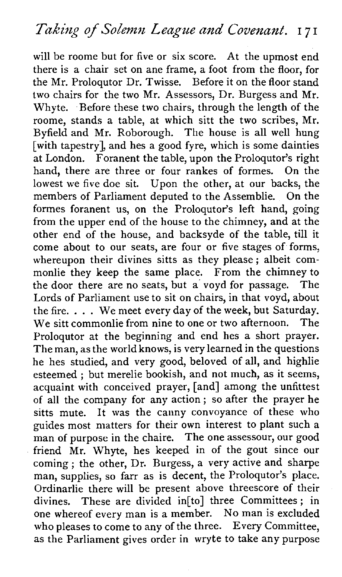will be roome but for five or six score. At the upmost end there is a chair set on ane frame, a foot from the floor, for the Mr. Proloqutor Dr. Twisse. Before it on the floor stand two chairs for the two Mr. Assessors, Dr. Burgess and Mr. Whyte. Before these two chairs, through the length of the roome, stands a table, at which sitt the two scribes, Mr. Byfield and Mr. Roborough. The house is all well hung [with tapestry], and hes a good fyre, which is some dainties at London. Foranent the table, upon the Prologutor's right hand, there are three or four rankes of formes. On the lowest we five doe sit. Upon the other, at our backs, the members of Parliament deputed to the Assemblie. On the formes foranent us, on the Proloqutor's left hand, going from the upper end of the house to the chimney, and at the other end of the house, and backsyde of the table, till it come about to our seats, are four or five stages of forms, whereupon their divines sitts as they please; albeit commonlie they keep the same place. From the chimney to the door there are no seats, but a voyd for passage. The Lords of Parliament use to sit on chairs, in that voyd, about the fire.  $\ldots$ . We meet every day of the week, but Saturday.<br>We sitt commonlie from nine to one or two afternoon. The  $W_{\text{P}}$  sitt commonlie from nine to one or two afternoon. Proloqutor at the beginning and end hes a short prayer. The man, as the world knows, is very learned in the questions he hes studied, and very good, beloved of all, and highlie esteemed : but merelie bookish, and not much, as it seems, acquaint with conceived prayer, [and] among the unfittest of all the company for any action ; so after the prayer he sitts mute. It was the canny convoyance of these who guides most matters for their own interest to plant such a man of purpose in the chaire. The one assessour, our good friend Mr. Whyte, hes keeped in of the gout since our coming ; the other, Dr. Burgess, a very active and sharpe man, supplies, so farr as is decent, the Proloqutor's place. Ordinarlie there will be present above threescore of their divines. These are divided in[to] three Committees ; in one whereof every man is a member. No man is excluded who pleases to come to any of the three. Every Committee, as the Parliament gives order in wryte to take any purpose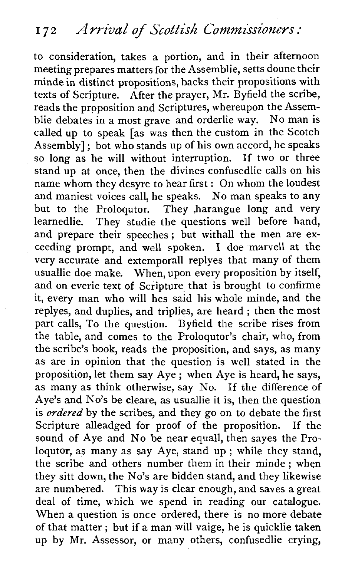to consideration, takes a portion, and in their afternoon meeting prepares matters for the Assemblie, setts doune their minde in distinct propositions, backs their propositions with texts of Scripture. After the prayer, Mr. Byfield the scribe, reads the proposition and Scriptures, whereupon the Assemblie debates in a most grave and orderlie way. No man is called up to speak [as was then the custom in the Scotch Assembly] ; bot who stands up of his own accord, he speaks so long as he will without interruption. If two or three stand up at once, then the divines confusedlie calls on his name whom they desyre to hear first : On whom the loudest and maniest voices call, he speaks. No man speaks to any but to the Proloqutor. They harangue long and very learnedlie. They studie the questions well before hand, and prepare their speeches; but withall the men are exceeding prompt, and well spoken. I doe marvell at the very accurate and extemporall replyes that many of them usuallie doe make. When, upon every proposition by itself, and on everie text of Scripture that is brought to confirme it, every man who will hes said his whole minde, and the replyes, and duplies, and triplies, are heard ; then the most part calls, To the question. Byfield the scribe rises from the table, and comes to the Proloqutor's chair, who, from the scribe's book, reads the proposition, and says, as many as are in opinion that the question is well stated in the proposition, let them say Aye ; when Aye is heard, he says, as many as think otherwise, say No. If the difference of Aye's and No's be cleare, as usuallie it is, then the question is *ordered* by the scribes, and they go on to debate the first<br>Scripture alleadged for proof of the proposition. If the Scripture alleadged for proof of the proposition. sound of Aye and No be near equall, then sayes the Proloqutor, as many as say Aye, stand up ; while they stand, the scribe and others number them in their minde ; when they sitt down, the No's are bidden stand, and they likewise are numbered. This way is clear enough, and saves a great deal of time, which we spend in reading our catalogue. When a question is once ordered, there is no more debate of that matter ; but if a man will vaige, he is quicklie taken up by Mr. Assessor, or many others, confusedlie crying,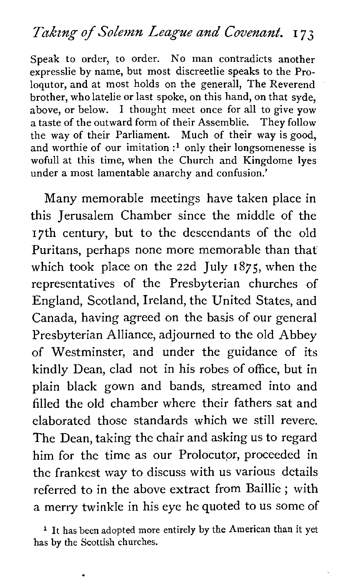#### *Takzng of Solemn League and* **Covenant.** *I 73*

Speak to order, to order. No man contradicts another expresslie by name, but most discreetlie speaks to the Proloqutor, and at most holds on the generall, The Reverend brother, who latelie or last spoke, on this hand, on that syde, above, or below. I thought meet once for all to give yow a taste of the outward form of their Assemblie. They follow the way of their Parliament. Much of their way is good, and worthie of our imitation **:l** only their longsomenesse is wofull at this time, when the Church and Kingdome lyes under a most lamentable anarchy and confusion.'

Many memorable meetings have taken place in this Jerusalem Chamber since the middle of the 17th century, but to the descendants of the old Puritans, perhaps none more memorable than that which took place on the 22d July 1875, when the representatives of the Presbyterian churches of England, Scotland, Ireland, the United States, and Canada, having agreed on the basis of our general Presbyterian Alliance, adjourned to the old Abbey of Westminster, and under the guidance of its kindly Dean, clad not in his robes of office, but in plain black gown and bands, streamed into and filled the old chamber where their fathers sat and elaborated those standards which we still revere. The Dean, taking the chair and asking us to regard him for the time as our Prolocutor, proceeded in the frankest way to discuss with us various details referred to in the above extract from Baillie ; with a merry twinkle in his eye he quoted to us some of

<sup>1</sup> It has been adopted more entirely by the American than it yet has by the Scottish churches.

 $\bullet$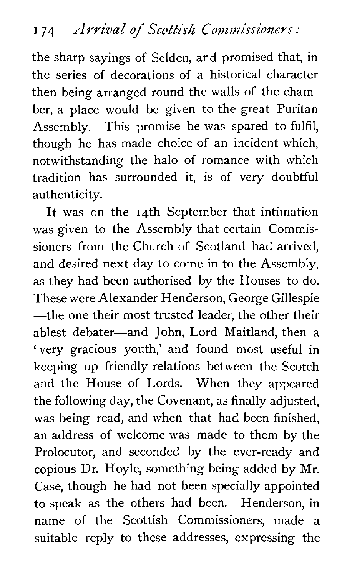the sharp sayings of Selden, and promised that, in the series of decorations of a historical character then being arranged round the walls of the chamber, a place would be given to the great Puritan Assembly. This promise he was spared to fulfil, though he has made choice of an incident which, notwithstanding the halo of romance with which tradition has surrounded it, is of very doubtful authenticity.

It was on the 14th September that intimation was given to the Assembly that certain Commissioners from the Church of Scotland had arrived, and desired next day to come in to the Assembly, as they had been authorised by the Houses to do. These were Alexander Henderson, George Gillespie -the one their most trusted leader, the other their ablest debater-and John, Lord Maitland, then a 'very gracious youth,' and found most useful in keeping up friendly relations between the Scotch and the House of Lords. When they appeared the following day, the Covenant, as finally adjusted, was being read, and when that had been finished, an address of welcome was made to them by the Prolocutor, and seconded by the ever-ready and copious Dr. Hoyle, something being added by Mr. Case, though he had not been specially appointed to speak as the others had been. Henderson, in name of the Scottish Commissioners, made a suitable reply to these addresses, expressing the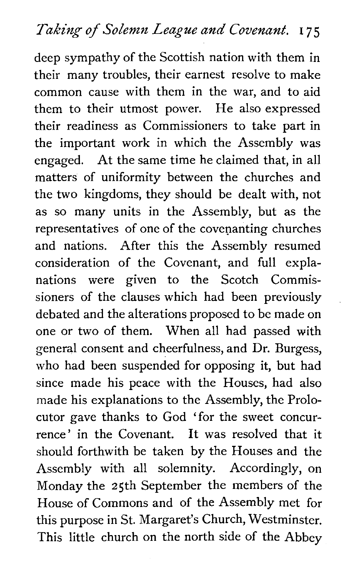deep sympathy of the Scottish nation with them in their many troubles, their earnest resolve to make common cause with them in the war, and to aid them to their utmost power. He also expressed their readiness as Commissioners to take part in the important work in which the Assembly was engaged. At the same time he claimed that, in all matters of uniformity between the churches and the two kingdoms, they should be dealt with, not as so many units in the Assembly, but as the representatives of one of the covenanting churches and nations. After this the Assembly resumed consideration of the Covenant, and full explanations were given to the Scotch Commissioners of the clauses which had been previously debated and the alterations proposed to be made on one or two of them. When all had passed with general consent and cheerfulness, and Dr. Burgess, who had been suspended for opposing it, but had since made his peace with the Houses, had also made his explanations to the Assembly, the Prolocutor gave thanks to God 'for the sweet concurrence' in the Covenant. It was resolved that it should forthwith be taken by the Houses and the Assembly with all solemnity. Accordingly, on Monday the 25th September the members of the House of Commons and of the Assembly met for this purpose in St. Margaret's Church, Westminster. This little church on the north side of the Abbey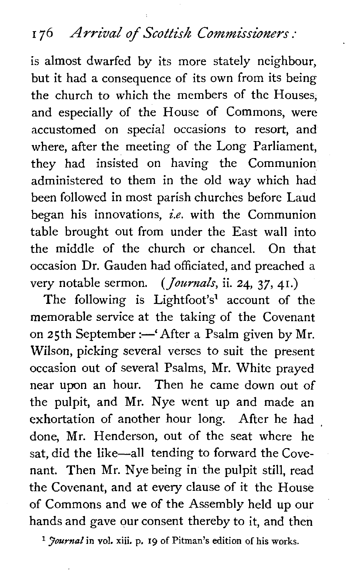### I 76 Arrival **of Scottish Commissioners** :

is almost dwarfed by its more stately neighbour, but it had a consequence of its own from its being the church to which the members of the Houses, and especially of the House of Commons, were accustomed on special occasions to resort, and where, after the meeting of the Long Parliament, they had insisted on having the Communion administered to them in the old way which had been followed in most parish churches before Laud began his innovations, **i.e.** with the Communion table brought out from under the East wall into the middle of the church or chancel. On that occasion Dr. Gauden had officiated, and preached a very notable sermon. *(Journals,* ii. 24, **37,** 41.)

The following is Lightfoot's' account of the memorable service at the taking of the Covenant on 25th September :- 'After a Psalm given by Mr. Wilson, picking several verses to suit the present occasion out of several Psalms, Mr. White prayed near upon an hour. Then he came down out of the pulpit, and Mr. Nye went up and made an exhortation of another hour long. After he had done, Mr. Henderson, out of the seat where he sat, did the like-all tending to forward the Covenant. Then Mr. Nye being in the pulpit still, read the Covenant, and at every clause of it the House of Commons and we of the Assembly held up our hands and gave our consent thereby to it, and then

<sup>1</sup> *fournal* in vol. xiii. p. 19 of Pitman's edition of his works.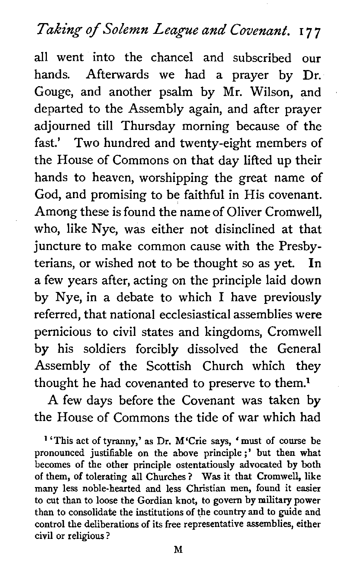# **Taking of Solemn League and Covenant. I** 7 7

all went into the chancel and subscribed our hands. Afterwards we had a prayer by Dr. Gouge, and another psalm by Mr. Wilson, and departed to the Assembly again, and after prayer adjourned till Thursday morning because of the fast.' Two hundred and twenty-eight members of the House of Commons on that day lifted up their hands to heaven, worshipping the great name of God, and promising to be faithful in His covenant. Among these is found the name of Oliver Cromwell, who, like Nye, was either not disinclined at that juncture to make common cause with the Presbyterians, or wished not to be thought so as yet. In a few years after, acting on the principle laid down by Nye, in a debate to which I have previously referred, that national ecclesiastical assemblies were pernicious to civil states and kingdoms, Cromwell by his soldiers forcibly dissolved the General Assembly of the Scottish Church which they thought he had covenanted to preserve to them.<sup>1</sup>

A few days before the Covenant was taken by the House of Commons the tide of war which had

' 'This act of tyranny,' as Dr. M'Crie says, ' must of course be pronounced justifiable on the above principle;' but then what becomes of the other principle ostentatiously advocated by both of them, of tolerating all Churches ? Was it that Cromwell, like many less noble-hearted and less Christian men, found it easier to cut than to loose the Gordian knot, to govern by military power than to consolidate the institutions of the country and to guide and control the deliberations of its free representative assemblies, either civil or religious ?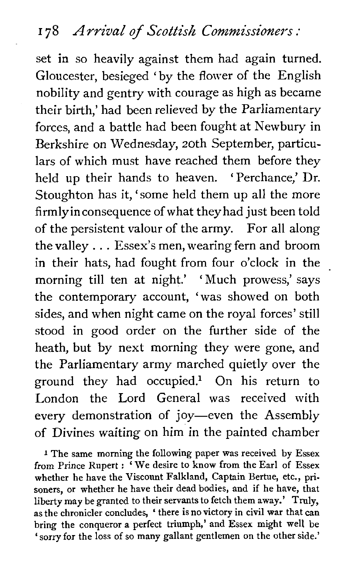set in so heavily against them had again turned. Gloucester, besieged 'by the flower of the English nobility and gentry with courage as high as became their birth,' had been relieved by the Parliamentary forces, and a battle had been fought at Newbury in Berkshire on Wednesday, 20th September, particulars of which must have reached them before they held up their hands to heaven. 'Perchance,' Dr. Stoughton has it, 'some held them up all the more firmlyinconsequence of what they had just been told of the persistent valour of the army. For all along the valley . . . Essex's men, wearing fern and broom in their hats, had fought from four o'clock in the morning till ten at night.' 'Much prowess,' says the contemporary account, 'was showed on both sides, and when night came on the royal forces' still stood in good order on the further side of the heath, but by next morning they were gone, and the Parliamentary army marched quietly over the ground they had occupied? On his return to London the Lord General was received with every demonstration of joy-even the Assembly of Divines waiting on him in the painted chamber

**<sup>1</sup>**The same morning the following paper was received by Essex from Prince Rupert : 'We desire to know from the Earl of Essex whether he have the Viscount Falkland, Captain Bertue, etc., prisoners, or whether he have their dead bodies, and if he have, that liberty may be granted to their servants to fetch them away.' Truly, as the chronicler concludes, ' there isno victory in civil war that can bring the conqueror a perfect triumph,' and Essex might well be 'sorry for the loss of so many gallant gentlemen on the other side.'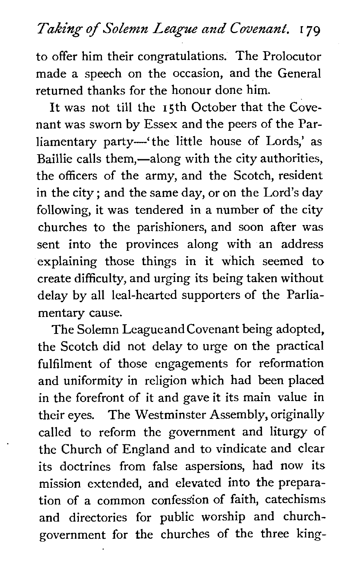## **Taking** *of Solemn League and* **Covenant. 1** *79*

to offer him their congratulations. The Prolocutor made a speech on the occasion, and the General returned thanks for the honour done him.

It was not till the 15th October that the Covenant was sworn by Essex and the peers of the Parliamentary party—'the little house of Lords,' as Baillie calls them,—along with the city authorities, the officers of the army, and the Scotch, resident in the city ; and the same day, or on the Lord's day following, it was tendered in a number of the city churches to the parishioners, and soon after was sent into the provinces along with an address explaining those things in it which seemed to create difficulty, and urging its being taken without delay by all leal-hearted supporters of the Parliamentary cause.

The Solemn Leagueand Covenant being adopted, the Scotch did not delay to urge on the practical fulfilment of those engagements for reformation and uniformity in religion which had been placed in the forefront of it and gave it its main value in their eyes. The Westminster Assembly, originally called to reform the government and liturgy of the Church of England and to vindicate and clear its doctrines from false aspersions, had now its mission extended, and elevated into the preparation of a common confession of faith, catechisms and directories for public worship and churchgovernment for the churches of the three king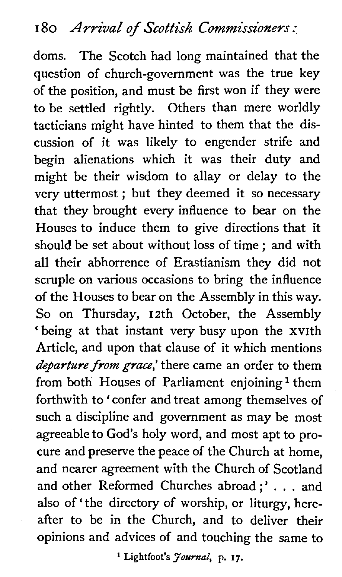doms. The Scotch had long maintained that the question of church-government was the true key of the position, and must be first won if they were to be settled rightly. Others than mere worldly tacticians might have hinted to them that the discussion of it was likely to engender strife and begin alienations which it was their duty and might be their wisdom to allay or delay to the very uttermost ; but they deemed it so necessary that they brought every influence to bear on the Houses to induce them to give directions that it should be set about without loss of time ; and with all their abhorrence of Erastianism they did not scruple on various occasions to bring the influence of the Houses to bear on the Assembly in this way. So on Thursday, 12th October, the Assembly 'being at that instant very busy upon the XVIth Article, and upon that clause of it which mentions departure from grace,' there came an order to them from both Houses of Parliament enjoining<sup>1</sup> them forthwith to ' confer and treat among themselves of such a discipline and government as may be most agreeable to God's holy word, and most apt to procure and preserve the peace of the Church at home, and nearer agreement with the Church of Scotland and other Reformed Churches abroad ;' . . . and also of 'the directory of worship, or liturgy, hereafter to be in the Church, and to deliver their opinions and advices of and touching the same to

' **Lightfoot's** *Journal,* **p. 17.**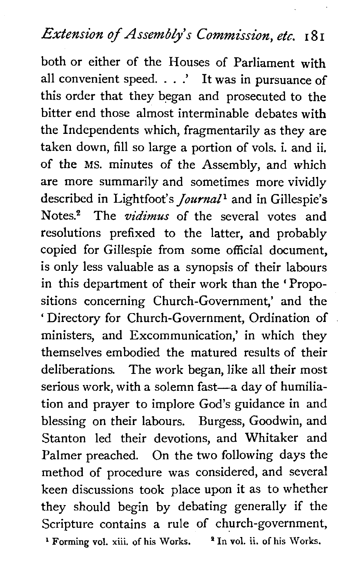### Extension of Assembly's Commission, etc. 181

both or either of the Houses of Parliament with all convenient speed. . . .' It was in pursuance of this order that they began and prosecuted to the bitter end those almost interminable debates with the Independents which, fragmentarily as they are taken down, fill so large a portion of vols. i. and ii. of the MS. minutes of the Assembly, and which are more summarily and sometimes more vividly described in Lightfoot's *journal1* and in Gillespie's Notes? The *vidimus* of the several votes and resolutions prefixed to the latter, and probably copied for Gillespie from some official document, is only less valuable as a synopsis of their labours in this department of their work than the ' Propositions concerning Church-Government,' and the ' Directory for Church-Government, Ordination of ministers, and Excommunication,' in which they themselves embodied the matured results of their deliberations. The work began, like all their most serious work, with a solemn fast-a day of humiliation and prayer to implore God's guidance in and blessing on their labours. Burgess, Goodwin, and Stanton led their devotions, and Whitaker and Palmer preached. On the two following days the method of procedure was considered, and several keen discussions took place upon it as to whether they should begin by debating generally if the Scripture contains a rule of church-government, ' **Forming vol. xiii. of his Works.** % **In vol.** ii. **of his Works.**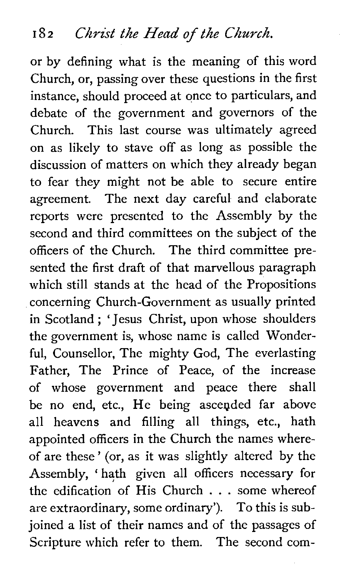or by defining what is the meaning of this word Church, or, passing over these questions in the first instance, should proceed at once to particulars, and debate of the government and governors of the Church. This last course was ultimately agreed on as likely to stave off as long as possible the discussion of matters on which they already began to fear they might not be able to secure entire agreement. The next day careful and elaborate reports were presented to the Assembly by the second and third committees on the subject of the officers of the Church. The third committee presented the first draft of that marvellous paragraph which still stands at the head of the Propositions concerning Church-Government as usually printed in Scotland ; 'Jesus Christ, upon whose shoulders the government is, whose name is called Wonderful, Counsellor, The mighty God, The everlasting Father, The Prince of Peace, of the increase of whose government and peace there shall be no end, etc., He being ascended far above all heavens and filling all things, etc., hath appointed officers in the Church the names whereof are these' (or, as it was slightly altered by the Assembly, ' hath given all officers necessary for the edification of His Church . . . some whereof are extraordinary, some ordinary'). To this is subjoined a list of their names and of the passages of Scripture which refer to them. The second com-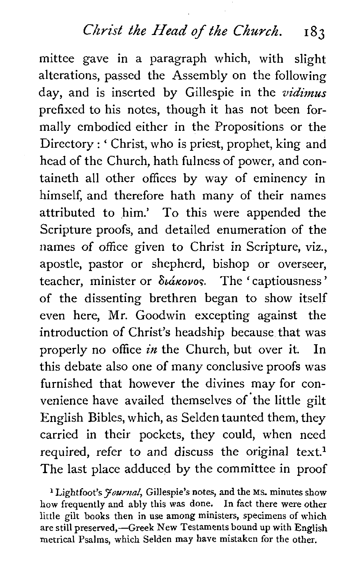#### *Christ the* Head **of** *the Church.* **<sup>183</sup>**

mittee gave in a paragraph which, with slight alterations, passed the Assembly on the following day, and is inserted by Gillespie in the **vidimus**  prefixed to his notes, though it has not been formally embodied either in the Propositions or the Directory : ' Christ, who is priest, prophet, king and head of the Church, hath fulness of power, and containeth all other offices by way of eminency in himself, and therefore hath many of their names attributed to him.' To this were appended the Scripture proofs, and detailed enumeration of the names of office given to Christ in Scripture, viz., apostle, pastor or shepherd, bishop or overseer, teacher, minister or  $\delta t \acute{\alpha} \kappa \nu \nu \circ$ . The 'captiousness' of the dissenting brethren began to show itself even here, Mr. Goodwin excepting against the introduction of Christ's headship because that was properly no office **in** the Church, but over it. In this debate also one of many conclusive proofs was furnished that however the divines may for convenience have availed themselves of the little gilt English Bibles, which, as Selden taunted them, they carried in their pockets, they could, when need required, refer to and discuss the original text.<sup>1</sup> The last place adduced by the committee in proof

<sup>1</sup> Lightfoot's *Journal*, Gillespie's notes, and the Ms. minutes show how frequently and ably this was done. In fact there were other little gilt books then in use among ministers, specimens of which are still preserved,-Greek New Testaments bound up with English metrical Psalms, which Selden may have mistaken for the other.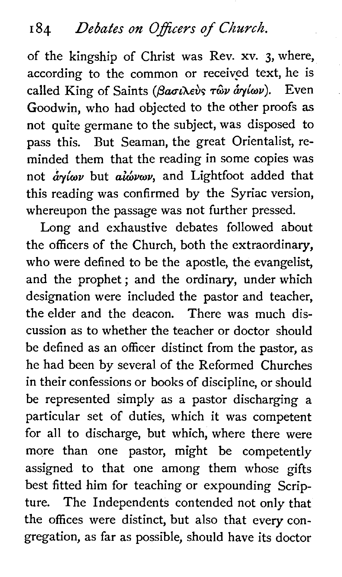of the kingship of Christ was Rev. xv. **3,** where, according to the common or received text, he is called King of Saints (Bagilevs Tay aylay). Even Goodwin, who had objected to the other proofs as not quite germane to the subject, was disposed to pass this. But Seaman, the great Orientalist, reminded them that the reading in some copies was not  $\partial y/\partial x$  but  $\partial \partial y/\partial y$ , and Lightfoot added that this reading was confirmed by the Syriac version, whereupon the passage was not further pressed.

Long and exhaustive debates followed about the officers of the Church, both the extraordinary, who were defined to be the apostle, the evangelist, and the prophet; and the ordinary, under which designation were included the pastor and teacher, the elder and the deacon. There was much discussion as to whether the teacher or doctor should be defined as an officer distinct from the pastor, as he had been by several of the Reformed Churches in their confessions or books of discipline, or should be represented simply as a pastor discharging a particular set of duties, which it was competent for all to discharge, but which, where there were more than one pastor, might be competently assigned to that one among them whose gifts best fitted him for teaching or expounding Scripture. The Independents contended not only that the offices were distinct, but also that every congregation, as far as possible, should have its doctor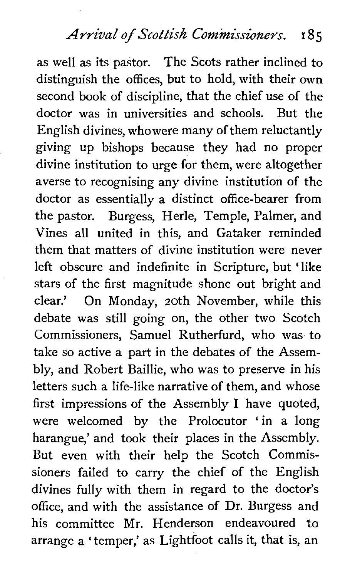as well as its pastor. The Scots rather inclined to distinguish the offices, but to hold, with their own second book of discipline, that the chief use of the doctor was in universities and schools. But the English divines, whowere many of them reluctantly giving up bishops because they had no proper divine institution to urge for them, were altogether averse to recognising any divine institution of the doctor as essentially a distinct office-bearer from the pastor. Burgess, Herle, Temple, Palmer, and Vines all united in this, and Gataker reminded them that matters of divine institution were never left obscure and indefinite in Scripture, but 'like stars of the first magnitude shone out bright and clear.' On Monday, 20th November, while this debate was still going on, the other two Scotch Commissioners, Samuel Rutherfurd, who was to take so active a part in the debates of the Assembly, and Robert Baillie, who was to preserve in his letters such a life-like narrative of them, and whose first impressions of the Assembly I have quoted, were welcomed by the Prolocutor 'in a long harangue,' and took their places in the Assembly. But even with their help the Scotch Commissioners failed to carry the chief of the English divines fully with them in regard to the doctor's office, and with the assistance of Dr. Burgess and his committee Mr. Henderson endeavoured to arrange a 'temper,' as Lightfoot calls it, that is, an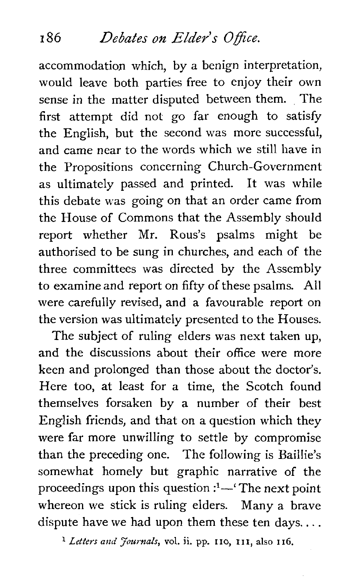#### **186** Debates on Elder's Office.

accommodation which, by a benign interpretation, would leave both parties free to enjoy their own sense in the matter disputed between them. The first attempt did not go far enough to satisfy the English, but the second was more successful, and came near to the words which we still have in the Propositions concerning Church-Government as ultimately passed and printed. It was while this debate was going on that an order came from the House of Commons that the Assembly should report whether Mr. Rous's psalms might be authorised to be sung in churches, and each of the three committees was directed by the Assembly to examine and report on fifty of these psalms. All were carefully revised, and a favourable report on the version was ultimately presented to the Houses.

The subject of ruling elders was next taken up, and the discussions about their office were more keen and prolonged than those about the doctor's. Here too, **at** least for a time, the Scotch found themselves forsaken by a number of their best English friends, and that on a question which they were far more unwilling to settle by compromise than the preceding one. The following is Baillie's somewhat homely but graphic narrative of the proceedings upon this question :<sup>1</sup>—' The next point whereon we stick is ruling elders. Many a brave dispute have we had upon them these ten days....

*Letters and Journals,* **vol.** ii. **pp.** no, **I I I,** also **116.**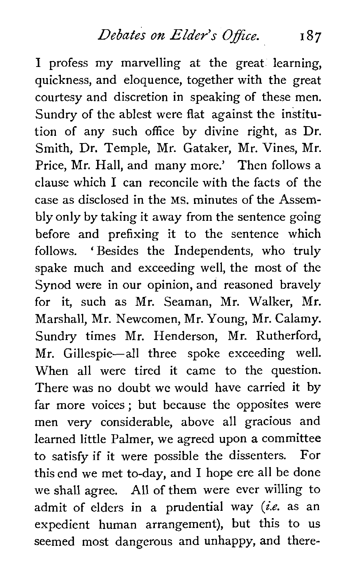*Debates on Elder's 0 ffice.* **<sup>187</sup>**

I profess my marvelling at the great learning, quickness, and eloquence, together with the great courtesy and discretion in speaking of these men. Sundry of the ablest were flat against the institution of any such office by divine right, as Dr. Smith, Dr. Temple, Mr. Gataker, Mr. Vines, Mr. Price, Mr. Hall, and many more.' Then follows a clause which I can reconcile with the facts of the case as disclosed in the MS. minutes of the Assembly only by taking it away from the sentence going before and prefixing it to the sentence which follows. 'Besides the Independents, who truly spake much and exceeding well, the most of the Synod were in our opinion, and reasoned bravely for it, such as Mr. Seaman, Mr. Walker, Mr. Marshall, Mr. Newcomen, Mr. Young, Mr. Calamy. Sundry times Mr. Henderson, Mr. Rutherford, Mr. Gillespie-all three spoke exceeding well. When all were tired it came to the question. There was no doubt we would have carried it by far more voices ; but because the opposites were men very considerable, above all gracious and learned little Palmer, we agreed upon a committee to satisfy if it were possible the dissenters. For this end we met to-day, and I hope ere all be done we shall agree. All of them were ever willing to admit of elders in a prudential way *(i.e.* as an expedient human arrangement), but this to us seemed most dangerous and unhappy, and there-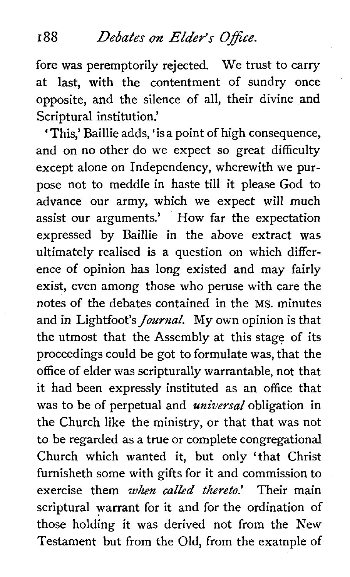#### **r** 88 *Debates* **on** *Elder's* **Office.**

fore was peremptorily rejected. We trust to carry at last, with the contentment of sundry once opposite, and the silence of all, their divine and Scriptural institution.'

'This,' Baillie adds, 'is a point of high consequence, and on no other do we expect so great difficulty except alone on Independency, wherewith we purpose not to meddle in haste till it please God to advance our army, which we expect will much assist our arguments.' How far the expectation expressed by Baillie in the above extract was ultimately realised is a question on which difference of opinion has long existed and may fairly exist, even among those who peruse with care the notes of the debates contained in the MS. minutes and in Lightfoot's *Journal,* My own opinion is that the utmost that the Assembly at this stage of its proceedings could be got to formulate was, that the office of elder was scripturally warrantable, not that it had been expressly instituted as an office that was to be of perpetual and *universal* obligation in the Church like the ministry, or that that was not to be regarded as a true or complete congregational Church which wanted it, but only 'that Christ furnisheth some with gifts for it and commission to exercise them *when called thereto.'* Their main scriptural warrant for it and for the ordination of those holding it was derived not from the New Testament but from the Old, from the example of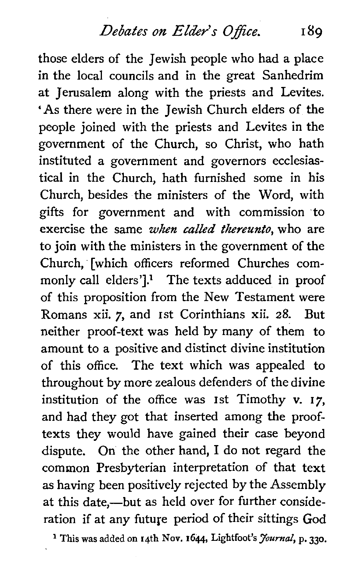*Debates on- Elder's* 0 *ffice.* 189

those elders of the Jewish people who had a place in the local councils and in the great Sanhedrim at Jerusalem along with the priests and Levites. 'As there were in the Jewish Church elders of the people joined with the priests and Levites in the government of the Church, so Christ, who hath instituted a government and governors ecclesiastical in the Church, hath furnished some in his Church, besides the ministers of the Word, with gifts for government and with commission to exercise the same when called thereunto, who are to join with the ministers in the government of the Church, [which officers reformed Churches commonly call elders'].<sup>1</sup> The texts adduced in proof of this proposition from the New Testament were Romans xii. 7, and 1st Corinthians xii. 28. But neither proof-text was held by many of them to amount to a positive and distinct divine institution of this office. The text which was appealed to throughout by more zealous defenders of the divine institution of the office was 1st Timothy v. **17,**  and had they got that inserted among the prooftexts they would have gained their case beyond dispute. On the other hand, I do not regard the common Presbyterian interpretation of that text as having been positively rejected by the Assembly at this date,--but as held over for further consideration if at any future period of their sittings God

**This was** added on **14th** Nov. **1644,** Lightfoot's *Journal,* p. **330.**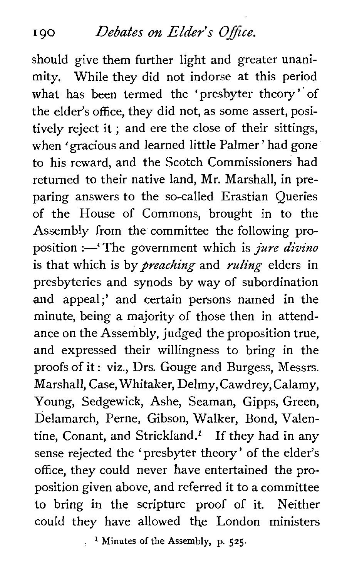### 190 *Debates on Elder's Office.*

should give them further light and greater unanimity. While they did not indorse at this period what has been termed the 'presbyter theory' of the elder's office, they did not, as some assert, positively reject it ; and ere the close of their sittings, when 'gracious and learned little Palmer' had gone to his reward, and the Scotch Commissioners had returned to their native land, Mr. Marshall, in preparing answers to the so-called Erastian Queries of the House of Commons, brought in to the Assembly from the committee the following proposition :-'The government which is *jure divino* is that which is by *preaching* and *ruling* elders in presbyteries and synods by way of subordination and appeal;' and certain persons named in the minute, being a majority of those then in attendance on the Assembly, judged the proposition true, and expressed their willingness to bring in the proofs of it : viz., Drs. Gouge and Burgess, Messrs. Marshall, Case, Whitaker, Delmy, Cawdrey, Calamy, Young, Sedgewick, Ashe, Seaman, Gipps, Green, Delamarch, Perne, Gibson, Walker, Bond, Valentine, Conant, and Strickland.<sup>1</sup> If they had in any sense rejected the 'presbyter theory' of the elder's office, they could never have entertained the proposition given above, and referred it to a committee to bring in the scripture proof of it. Neither could they have allowed the London ministers

: **Minutes of the Assembly, p. 525.**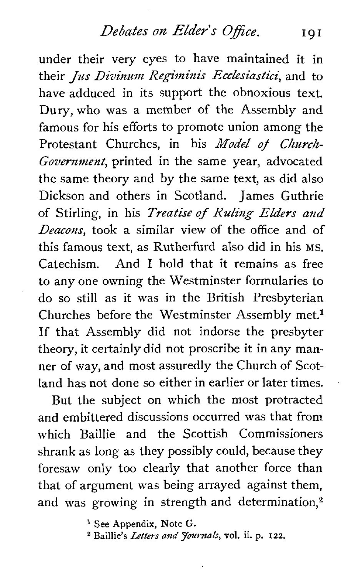*Debates on Elder's Office.*  101

under their very eyes to have maintained it in their *Jus Divinum* Regiminis Ecclesiastici, and to have adduced in its support the obnoxious text. Dury, who was a member of the Assembly and famous for his efforts to promote union among the Protestant Churches, in his Model of Church-Government, printed in the same year, advocated the same theory and by the same text, as did also Dickson and others in Scotland. James Guthrie of Stirling, in his Treatise of **Ruling** Elders **and**  Deacons, took a similar view of the office and of this famous text, as Rutherfurd also did in his **MS.**  Catechism. And **I** hold that it remains as free to any one owning the Westminster formularies to do so still as it was in the British Presbyterian Churches before the Westminster Assembly met.<sup>1</sup> If that Assembly did not indorse the presbyter theory, it certainly did not proscribe it in any manner of way, and most assuredly the Church of Scotland has not done so either in earlier or later times.

But the subject on which the most protracted and embittered discussions occurred was that from which Baillie and the Scottish Commissioners shrank as long as they possibly could, because they foresaw only too clearly that another force than that of argument was being arrayed against them, and was growing in strength and determination, $2$ 

<sup>1</sup> See Appendix, Note G.

**Baillie's** *Letters* **and** *Jom-nals,* **vol.** ii. **p. 122.**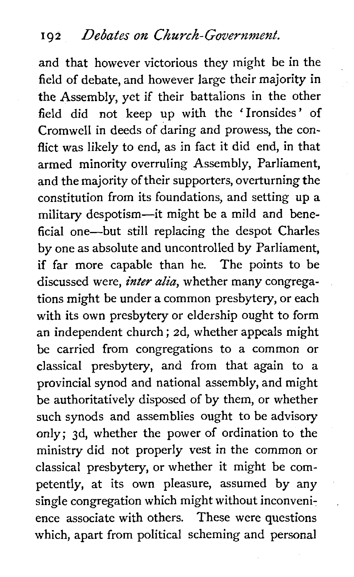and that however victorious they might be in the field of debate, and however large their majority in the Assembly, yet if their battalions in the other field did not keep up with the 'Ironsides' of Cromwell in deeds of daring and prowess, the conflict was likely to end, as in fact it did end, in that armed minority overruling Assembly, Parliament, and the majority of their supporters, overturning the constitution from its foundations, and setting up **a**  military despotism-it might be a mild and beneficial one-but still replacing the despot Charles by one as absolute and uncontrolled by Parliament, if far more capable than he. The points to be discussed were, *inter alia*, whether many congregations might be under a common presbytery, or each with its own presbytery or eldership ought to form an independent church ; 2d, whether appeals might be carried from congregations to a common or classical presbytery, and from that again to a provincial synod and national assembly, and might be authoritatively disposed of by them, or whether such synods and assemblies ought to be advisory only; 3d, whether the power of ordination to the ministry did not properly vest in the common or classical presbytery, or whether it might be competently, at its own pleasure, assumed by any single congregation which might without inconvenience associate with others. These were questions which, apart from political scheming and personal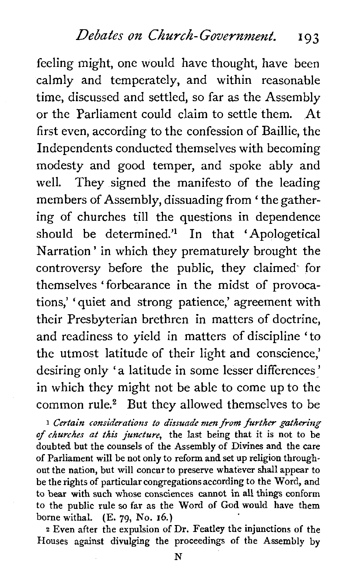feeling might, one would have thought, have been calmly and temperately, and within reasonable time, discussed and settled, so far as the Assembly or the Parliament could claim to settle them. At first even, according to the confession of Baillie, the Independents conducted themselves with becoming modesty and good temper, and spoke ably and well. They signed the manifesto of the leading members of Assembly, dissuading from ' the gathering of churches till the questions in dependence should be determined.'l In that 'Apologetical Narration ' in which they prematurely brought the controversy before the public, they claimed for themselves 'forbearance in the midst of provocations,' ' quiet and strong patience,' agreement with their Presbyterian brethren in matters of doctrine, and readiness to yield in matters of discipline 'to the utmost latitude of their light and conscience,' desiring only 'a latitude in some lesser differences' in which they might not be able to come up to the common rule.<sup>2</sup> But they allowed themselves to be

**<sup>1</sup>Certain** *considerations to dissuade men from further* **gathering**  *of churches at* this *juncture,* the last being that it is not to be doubted but the counsels of the Assembly of Divines and the care of Parliament will be not only to reform and set up religion throughout the nation, but will concur to preserve whatever shall appear to be the rights of particular congregationsaccording to the Word, and to bear with such whose consciences cannot in all things conform to the public rule so far as the Word of God would have them borne withal. (E. **79,** No. 16.)

**<sup>2</sup>**Even after the expulsion of Dr. Featley the injunctions of the Houses against divulging the proceedings of the Assembly by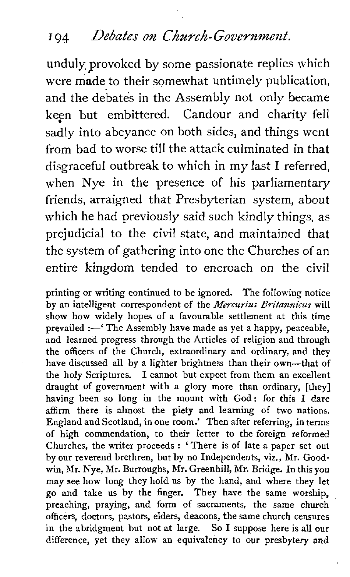#### 194 *Debates on Church-Government.*

unduly, provoked by some passionate replies which were made to their somewhat untimely publication, and the debates in the Assembly not only became keen but embittered. Candour and charity fell sadly into abeyance on both sides, and things went from bad to worse till the attack culminated in that disgraceful outbreak to which in my last I referred, when Nye in the presence of his parliamentary friends, arraigned that Presbyterian system, about which he had previously said such kindly things, as prejudicial to the civil state, and maintained that the system of gathering into one the Churches of an entire kingdom tended to encroach on the civil

printing or writing continued to be ignored. The following notice by an intelligent correspondent of the *Mercurius Britannicus* will show how widely hopes of a favourable settlement at this time prevailed :-' The Assembly have made as yet a happy, peaceable, and learned progress through the Articles of religion and through the officers of the Church, extraordinary and ordinary, and they have discussed all by a lighter brightness than their own-that of the holy Scriptures. I cannot but expect from them an excellent draught of government with a glory more than ordinary, [they] having been so long in the mount with God: for this I dare affirm there is almost the piety and learning of two nations. England and Scotland, in one room.' Then after referring, in terms of high commendation, to their letter to the foreign reformed Churches, the writer proceeds : ' There is of late a paper set out by our reverend brethren, but by no Independents, viz., Mr. Goodwin, Mr. Nye, Mr. Burroughs, Mr. Greenhill, Mr. Bridge. In this you may see how long they hold us by the hand, and where they let go and take us by the finger. They have the same worship, preaching, praying, and form of sacraments, the same church officers, doctors, pastors, elders, deacons, the same church censures in the abridgment but not at large. So I suppose here is all our difference, yet they allow an equivalency to our presbytery and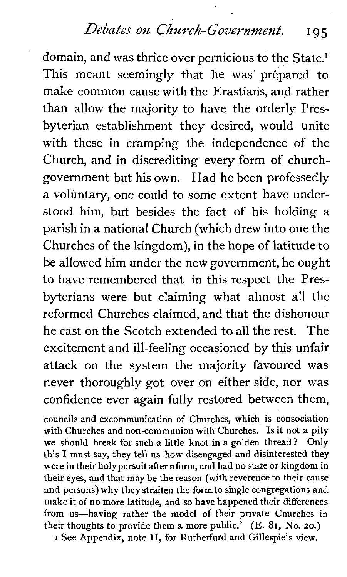*Debates on Church-Government.* **195** 

domain, and was thrice over pernicious to the State.<sup>1</sup> This meant seemingly that he was prepared to make common cause with the Erastians, and rather than allow the majority to have the orderly Presbyterian establishment they desired, would unite with these in cramping the independence of the Church, and in discrediting every form of churchgovernment but his own. Had he been professedly a voluntary, one could to some extent have understood him, but besides the fact of his holding a parish in *a* national Church (which drew into one the Churches of the kingdom), in the hope of latitude to be allowed him under the new government, he ought to have remembered that in this respect the Presbyterians were but claiming what almost all the reformed Churches claimed, and that the dishonour he cast on the Scotch extended to all the rest. The excitement and ill-feeling occasioned by this unfair attack on the system the majority favoured was never thoroughly got over on either side, nor was confidence ever again fully restored between them,

councils and excommunication of Churches, which is consociation with Churches and non-communion with Churches. Is it not a pity we should break for such a little knot in a golden thread? Only this I must say, they tell us how disengaged and disinterested they were in their holypursuit after aform, and had no state or kingdom in their eyes, and that may be thereason (with reverence to their cause and persons) why they straiten the form to single congregations and make it of no more latitude, and so have happened their differences from us-having rather the model of their private Churches in their thoughts to provide them a more public.' (E. **81,** No. **20.)** 

**1** See Appendix, note H, for Rutherfurd and Gillespie's view.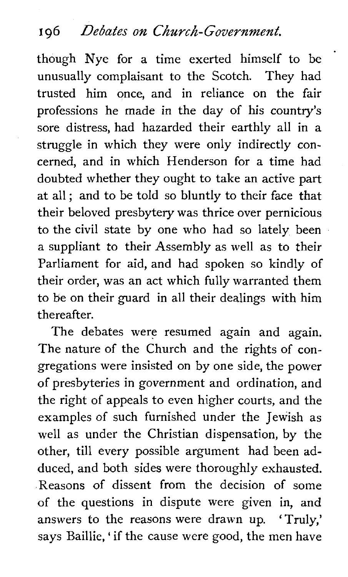### **<sup>I</sup>***96 Debates on Church-Government,*

though Nye for a time exerted himself to be unusually complaisant to the Scotch. They had trusted him once, and in reliance on the fair professions he made in the day of his country's sore distress, had hazarded their earthly all in a struggle in which they were only indirectly concerned, and in which Henderson for a time had doubted whether they ought to take an active part at all ; and to be told so bluntly to their face that their beloved presbytery was thrice over pernicious to the civil state by one who had so lately been a suppliant to their Assembly as well as to their Parliament for aid, and had spoken so kindly of their order, was an act which fully warranted them to be on their guard in all their dealings with him thereafter.

The debates were resumed again and again. The nature of the Church and the rights of congregations were insisted on by one side, the power of presbyteries in government and ordination, and the right of appeals to even higher courts, and the examples of such furnished under the Jewish as well as under the Christian dispensation, by the other, till every possible argument had been adduced, and both sides were thoroughly exhausted. Reasons of dissent from the decision of some of the questions in dispute were given in, and answers to the reasons were drawn up. 'Truly,' says Baillie, ' if the cause were good, the men have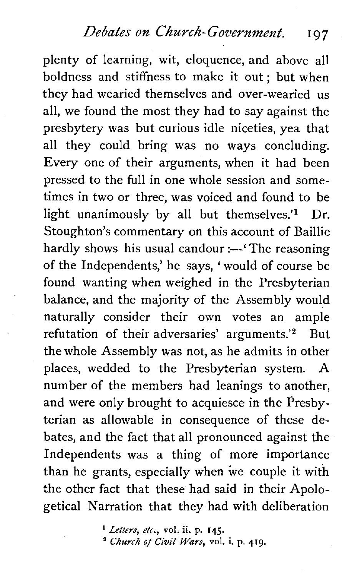#### *<u>Debates on Church-Government.* **197**</u>

plenty of learning, wit, eloquence, and above all boldness and stiffness to make it out; but when they had wearied themselves and over-wearied us all, we found the most they had to say against the presbytery was but curious idle niceties, yea that all they could bring was no ways concluding. Every one of their arguments, when it had been pressed to the full in one whole session and sometimes in two or three, was voiced and found to be light unanimously by all but themselves.<sup>'1</sup> Dr. Stoughton's commentary on this account of Baillie hardly shows his usual candour :- The reasoning of the Independents,' he says, 'would of course be found wanting when weighed in the Presbyterian balance, and the majority of the Assembly would naturally consider their own votes an ample refutation of their adversaries' arguments.'<sup>2</sup> But the whole Assembly was not, as he admits in other places, wedded to the Presbyterian system. A number of the members had leanings to another, and were only brought to acquiesce in the Presbyterian as allowable in consequence of these debates, and the fact that all pronounced against the Independents was a thing of more importance than he grants, especially when we couple it with the other fact that these had said in their Apologetical Narration that they had with deliberation

> *Letters, etc.,* **vol.** ii. **p. 145.**  *Church of Civil Wars,* **vol. i. p. 419.**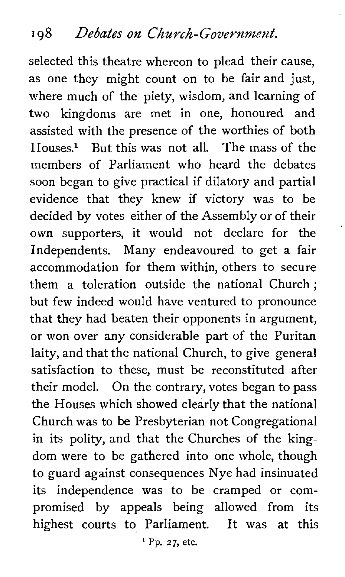selected this theatre whereon to plead their cause, as one they might count on to be fair and just, where much of the piety, wisdom, and learning of two kingdoms are met in one, honoured and assisted with the presence of the worthies of both  $H$ <sub>ouses.</sub><sup>1</sup> But this was not all. The mass of the members of Parliament who heard the debates soon began to give practical if dilatory and partial evidence that they knew if victory was to be decided by votes either of the Assembly or of their own supporters, it would not declare for the Independents. Many endeavoured to get a fair accommodation for them within, others to secure them a toleration outside the national Church ; but few indeed would have ventured to pronounce that they had beaten their opponents in argument, or won over any considerable part of the Puritan laity, and that the national Church, to give general satisfaction to these, must be reconstituted after their model. On the contrary, votes began to pass the Houses which showed clearly that the national Church was to be Presbyterian not Congregational in its polity, and that the Churches of the kingdom were to be gathered into one whole, though to guard against consequences Nye had insinuated its independence was to be cramped or compromised by appeals being allowed from its highest courts to Parliament. It was at this

' Pp. **27, etc.**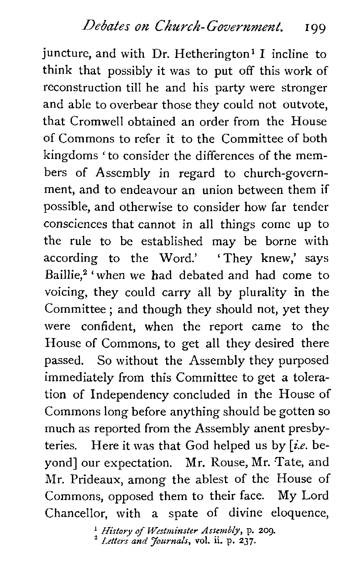juncture, and with Dr. Hetherington<sup>1</sup> I incline to think that possibly it was to put off this work of reconstruction till he and his party were stronger and able to overbear those they could not outvote, that Cromwell obtained an order from the House of Commons to refer it to the Committee of both kingdoms 'to consider the differences of the members of Assembly in regard to church-government, and to endeavour an union between them if possible, and otherwise to consider how far tender consciences that cannot in all things come up to the rule to be established may be borne with according to the Word.' 'They knew,' says Baillie.<sup>2</sup> 'when we had debated and had come to voicing, they could carry all by plurality in the Committee ; and though they should not, yet they were confident, when the report came to the House of Commons, to get all they desired there passed. So without the Assembly they purposed immediately from this Committee to get a toleration of Independency concluded in the House of Commons long before anything should be gotten so much as reported from the Assembly anent presbyteries. Here it was that God helped us by  $[i.e.$  beyond] our expectation. Mr. Rouse, Mr. Tate, and Mr. Prideaux, among the ablest of the House of Commons, opposed them to their face. My Lord Chancellor, with a spate of divine eloquence,

*History* **of** *Westminster Assembly,* **p.** *209. Letters and Journals,* **vol.** ii. **p. 237.**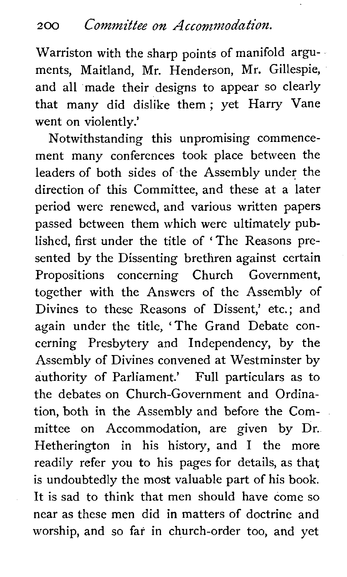Warriston with the sharp points of manifold arguments, Maitland, Mr. Henderson, Mr. Gillespie, and all made their designs to appear so clearly that many did dislike them ; yet Harry Vane went on violently.'

Notwithstanding this unpromising commencement many conferences took place between the leaders of both sides of the Assembly under the direction of this Committee, and these at a later period were renewed, and various written papers passed between them which were ultimately published, first under the title of 'The Reasons presented by the Dissenting brethren against certain Propositions concerning Church Government, together with the Answers of the Assembly of Divines to these Reasons of Dissent,' etc.; and again under the title, 'The Grand Debate concerning Presbytery and Independency, by the Assembly of Divines convened at Westminster by authority of Parliament.' Full particulars as to the debates on Church-Government and Ordination, both in the Assembly and before the Committee on Accommodation, are given by Dr. Hetherington in his history, and I the more readily refer you to his pages for details, as that is undoubtedly the most valuable part of his book. It is sad to think that men should have come so near as these men did in matters of doctrine and worship, and so far in church-order too, and yet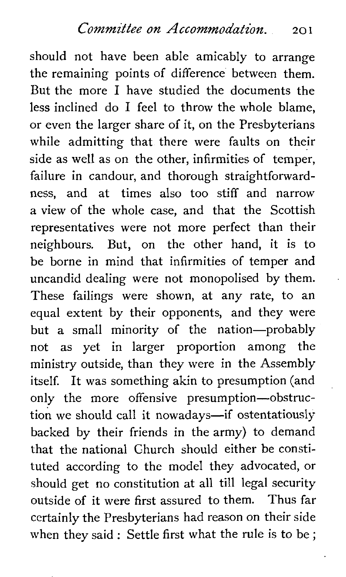should not have been able amicably to arrange the remaining points of difference between them. But the more I have studied the documents the less inclined do I feel to throw the whole blame, or even the larger share of it, on the Presbyterians while admitting that there were faults on their side as well as on the other, infirmities of temper, failure in candour, and thorough straightforwardness, and at times also too stiff and narrow a view of the whole case, and that the Scottish representatives were not more perfect than their neighbours. But, on the other hand, it is to be borne in mind that infirmities of temper and uncandid dealing were not monopolised by them. These failings were shown, at any rate, to an equal extent by their opponents, and they were but a small minority of the nation-probably not as yet in larger proportion among the ministry outside, than they were in the Assembly itself. It was something akin to presumption (and only the more offensive presumption-obstruction we should call it nowadays-if ostentatiously backed by their friends in the army) to demand that the national Church should either be constituted according to the model they advocated, or should get no constitution at all till legal security outside of it were first assured to them. Thus far certainly the Presbyterians had reason on their side when they said : Settle first what the rule is to be ;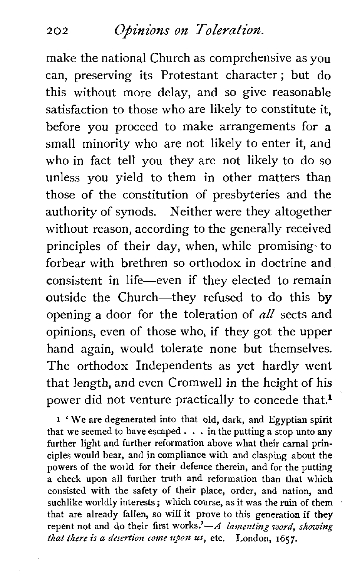### **202 Opinions on Toleration.**

make the national Church as comprehensive as you can, preserving its Protestant character; but do this without more delay, and so give reasonable satisfaction to those who are likely to constitute it, before you proceed to make arrangements for a small minority who are not likely to enter it, and who in fact tell you they are not likely to do so unless you yield to them in other matters than those of the constitution of presbyteries and the authority of synods. Neither were they altogether without reason, according to the generally received principles of their day, when, while promising- to forbear with brethren so orthodox in doctrine and consistent in life-even if they elected to remain outside the Church-they refused to do this by opening a door for the toleration of *all* sects and opinions, even of those who, if they got the upper hand again, would tolerate none but themselves. The orthodox Independents as yet hardly went that length, and even Cromwell in the height of his power did not venture practically to concede that.<sup>1</sup>

**<sup>l</sup>**' We are degenerated into that old, dark, and Egyptian spirit that we seemed to have escaped  $\ldots$  in the putting a stop unto any further light and further reformation above what their carnal principles would bear, and in compliance with and clasping about the powers of the world for their defence therein, and for the putting a check upon all further truth and reformation than that which consisted with the safety of their place, order, and nation, and suchlike worldly interests; which course, as it was the ruin of them that are already fallen, so will it prove to this generation if they repent not and do their first works.' $-A$  *lamenting word, showing that there is a desertion come upon us,* etc. London, 1657.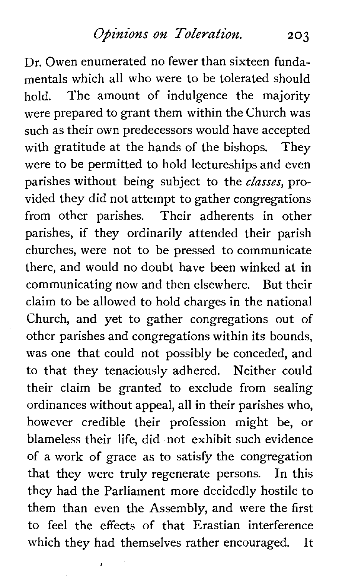Dr. Owen enumerated no fewer than sixteen fundamentals which all who were to be tolerated should hold. The amount of indulgence the majority were prepared to grant them within the Church was such as their own predecessors would have accepted with gratitude at the hands of the bishops. They were to be permitted to hold lectureships and even parishes without being subject to the *classes,* provided they did not attempt to gather congregations from other parishes. Their adherents in other parishes, if they ordinarily attended their parish churches, were not to be pressed to communicate there, and would no doubt have been winked at in communicating now and then elsewhere. But their claim to be allowed to hold charges in the national Church, and yet to gather congregations out of other parishes and congregations within its bounds, was one that could not possibly be conceded, and to that they tenaciously adhered. Neither could their claim be granted to exclude from sealing ordinances without appeal, all in their parishes who, however credible their profession might be, or blameless their life, did not exhibit such evidence of a work of grace as to satisfy the congregation that they were truly regenerate persons. In this they had the Parliament more decidedly hostile to them than even the Assembly, and were the first to feel the effects of that Erastian interference which they had themselves rather encouraged. It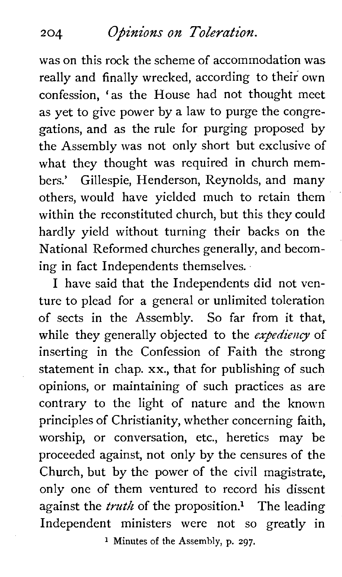#### **Opinions on Toleration.**   $204$

was on this rock the scheme of accommodation was really and finally wrecked, according to their own confession, 'as the House had not thought meet as yet to give power by a law to purge the congregations, and as the rule for purging proposed by the Assembly was not only short but exclusive of what they thought was required in church members.' Gillespie, Henderson, Reynolds, and many others, would have yielded much to retain them within the reconstituted church, but this they could hardly yield without turning their backs on the National Reformed churches generally, and becoming in fact Independents themselves.

I have said that the Independents did not venture to plead for a general or unlimited toleration of sects in the Assembly. So far from it that, while they generally objected to the **expediency** of inserting in the Confession of Faith the strong statement in chap. xx., that for publishing of such opinions, or maintaining of such practices as are contrary to the light of nature and the known principles of Christianity, whether concerning faith, worship, or conversation, etc., heretics may be proceeded against, not only by the censures of the Church, but by the power of the civil magistrate, only one of them ventured to record his dissent against the *truth* of the proposition.<sup>1</sup> The leading Independent ministers were not so greatly in

**1** Minutes of the Assembly, p. **297.**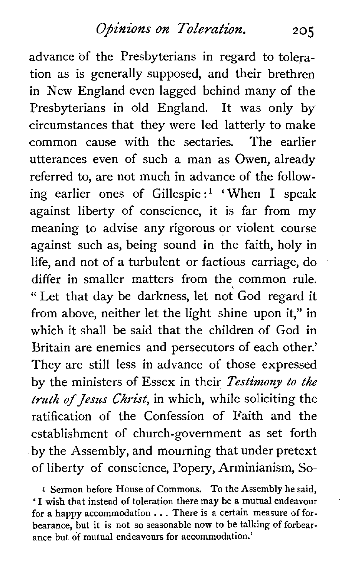advance of the Presbyterians in regard to toleration as is generally supposed, and their brethren in New England even lagged behind many of the Presbyterians in old England. It was only by circumstances that they were led latterly to make common cause with the sectaries. The earlier utterances even of such a man as Owen, already referred to, are not much in advance of the following earlier ones of Gillespie:<sup>1</sup> 'When I speak against liberty of conscience, it is far from my meaning to advise any rigorous or violent course against such as, being sound in the faith, holy in life, and not of a turbulent or factious carriage, do differ in smaller matters from the common rule. " Let that day be darkness, let not God regard it from above, neither let the light shine upon it," in which it shall be said that the children of God in Britain are enemies and persecutors of each other.' They are still less in advance of those expressed by the ministers of Essex in their **Testimony to** *the*  **truth of** *Jesus* **Christ,** in which, while soliciting the ratification of the Confession of Faith and the establishment of church-government as set forth by the Assembly, and mourning that under pretext of liberty of conscience, Popery, Arminianism, So-

**<sup>1</sup>**Sermon before House of Commons. To the Assembly he said, ' I wish that instead of toleration there may be a mutual endeavour for a happy accommodation  $\ldots$  There is a certain measure of forbearance, but it is not so seasonable now to be talking of forbearance but of mutual endeavours for accommodation.'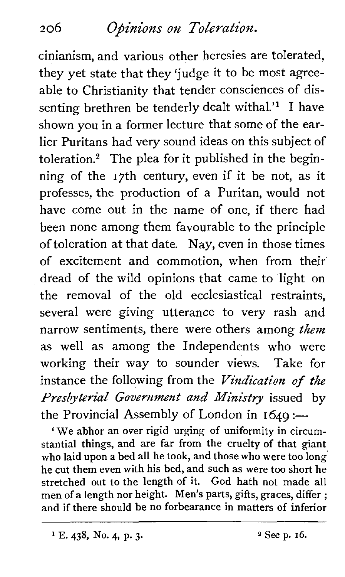# **206 Opinions on Toleration.**

cinianism, and various other heresies are tolerated, they yet state that they 'judge it to be most agreeable to Christianity that tender consciences of dissenting brethren be tenderly dealt withal.'<sup>1</sup> I have shown you in a former lecture that some of the earlier Puritans had very sound ideas on this subject of toleration. $2$  The plea for it published in the beginning of the 17th century, even if it be not, as it professes, the production of a Puritan, would not have come out in the name of one, if there had been none among them favourable to the principle of toleration at that date. Nay, even in those times of excitement and commotion, when from their' dread of the wild opinions that came to light on the removal of the old ecclesiastical restraints, several were giving utterance to very rash and narrow sentiments, there were others among *them*  as well as among the Independents who were working their way to sounder views. Take for instance the following from the *Vindication of the Presbyterial Government and Ministry* issued by the Provincial Assembly of London in  $1649$ :

We abhor an over rigid urging of uniformity in circumstantial things, and are far from the cruelty of that giant who laid upon a bed all he took, and those who were too long he cut them even with his bed, and such as were too short he stretched out to the length of it. God hath not made all men of a length nor height. Men's parts, gifts, graces, differ ; and if there should be no forbearance in matters of inferior

**E. 438.** No. **4, p. 3. 2 See p. 16.**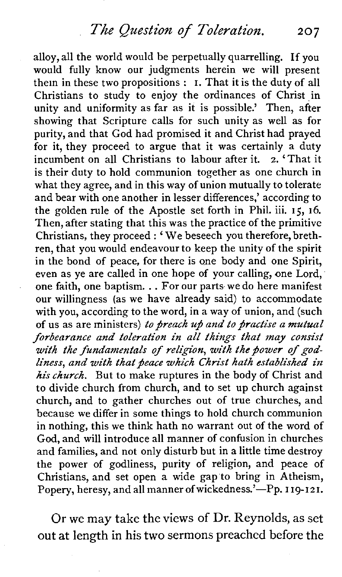alloy, all the world would be perpetually quarrelling. If you would fully know our judgments herein we will present them in these two propositions : I. That it is the duty of all Christians to study to enjoy the ordinances of Christ in unity and uniformity as far as it is possible.' Then, after showing that Scripture calls for such unity as well as for purity, and that God had promised it and Christ had prayed for it, they proceed to argue that it was certainly a duty incumbent on all Christians to labour after it. 2. 'That it is their duty to hold communion together as one church in what they agree, and in this way of union mutually to tolerate and bear with one another in lesser differences,' according to the golden rule of the Apostle set forth in Phil. iii. 15, **16.**  Then, after stating that this was the practice of the primitive Christians, they proceed : 'We beseech you therefore, brethren, that you would endeavour to keep the unity of the spirit in the bond of peace, for there is one body and one Spirit, even as ye are called in one hope of your calling, one Lord, one faith, one baptism. . . For our parts we do here manifest our willingness (as we have already said) to accommodate with you, according to the word, in a way of union, and (such of us as are ministers) to preach up and to practise a mutual *forbearance and toleration in all things that may consist*  with the fundamentals of religion, with the bower of god*liness, and with that peace which Christ hath established in hischurch.* But to make ruptures in the body of Christ and to divide church from church, and to set up church against church, and to gather churches out of true churches, and because we differ in some things to hold church communion in nothing, this we think hath no warrant out of the word of God, and will introduce all manner of confusion in churches and families, and not only disturb but in a little time destroy the power of godliness, purity of religion, and peace of Christians, and set open a wide gap to bring in Atheism, Popery, heresy, and all manner of wickedness.'-Pp. 119-121.

Or we may take the views of Dr. Reynolds, as set out at length in his two sermons preached before the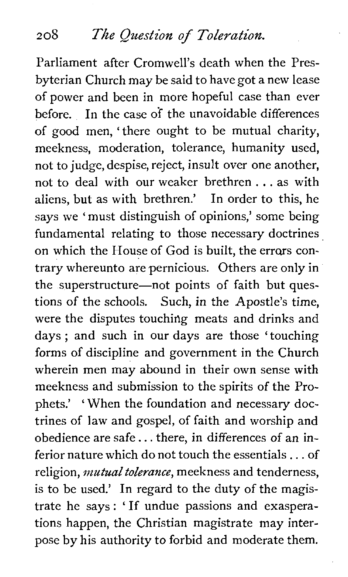*208 The Question of Toleration.* 

Parliament after Cromwell's death when the Presbyterian Church may be said to have got a new lease of power and been in more hopeful case than ever before. In the case of the unavoidable differences of good men, 'there ought to be mutual charity, meekness, moderation, tolerance, humanity used, not to judge, despise, reject, insult over one another, not to deal with our weaker brethren . . . as with aliens, but as with brethren.' In order to this, he says we ' must distinguish of opinions,' some being fundamental relating to those necessary doctrines on which the House of God is built, the errors contrary whereunto are pernicious. Others are only in the superstructure-not points of faith but questions of the schools. Such, in the Apostle's time, were the disputes touching meats and drinks and days ; and such in our days are those 'touching forms of discipline and government in the Church wherein men may abound in their own sense with meekness and submission to the spirits of the Prophets.' ' When the foundation and necessary doctrines of law and gospel, of faith and worship and obedience are safe.. . there, in differences of an inferior nature which do not touch the essentials . . . of religion, *mutual tolerance*, meekness and tenderness, is to be used.' In regard to the duty of the magistrate he says : ' If undue passions and exasperations happen, the Christian magistrate may interpose by his authority to forbid and moderate them.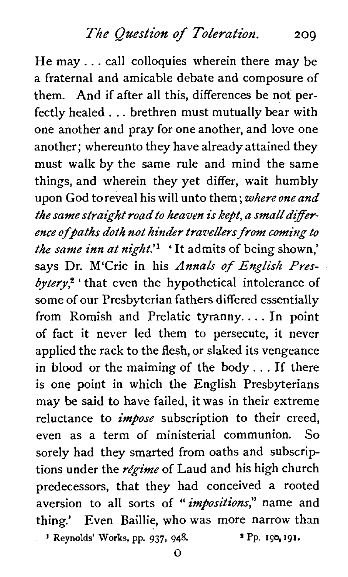He may. . . call colloquies wherein there may be a fraternal and amicable debate and composure of them. And if after all this, differences be not perfectly healed . . . brethren must mutually bear with one another and pray for one another, and love one another; whereunto they have already attained they must walk by the same rule and mind the same things, and wherein they yet differ, wait humbly upon God to reveal his will unto them ; *where one and the same straight road to heaven is* kept, *a small dtfference ofpaths* doth *not hinder travellers from coming to the same inn at night.'^* ' It admits of being shown,' says Dr. M'Crie in his *Annals of English Presbytery\** ' that even the hypothetical intolerance of some of our Presbyterian fathers differed essentially from Romish and Prelatic tyranny. . . . In point of fact it never led them to persecute, it never applied the rack to the flesh, or slaked its vengeance in blood or the maiming of the body. . . If there is one point in which the English Presbyterians may be said to have failed, it was in their extreme reluctance to *impose* subscription to their creed, even as a term of ministerial communion. So sorely had they smarted from oaths and subscrip tions under the *régime* of Laud and his high church predecessors, that they had conceived a rooted aversion to all sorts of *"impositions"* name and thing.' Even Baillie, who was more narrow than <br><sup>1</sup> Reynolds' Works, pp. 937, 948. **I** Pp. **198, 191.**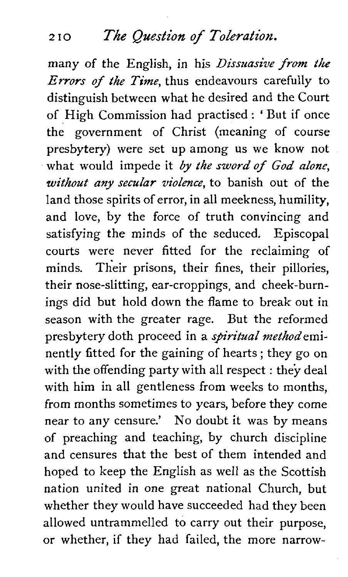#### **<sup>2</sup>10** *The Question* **of** *Toleration.*

many of the English, in his Dissuasive from *the*  Errors of the Time, thus endeavours carefully to distinguish between what he desired and the Court of High Commission had practised : ' But if once the government of Christ (meaning of course presbytery) were set up among us we know not what would impede it by the sword of God alone, without any secular violence, to banish out of the land those spirits of error, in all meekness, humility, and love, by the force of truth convincing and satisfying the minds of the seduced. Episcopal courts were never fitted for the reclaiming of minds. Their prisons, their fines, their pillories, their nose-slitting, ear-croppings, and cheek-burnings did but hold down the flame to break out in season with the greater rage. But the reformed presbytery doth proceed in a *spiritual method* eminently fitted for the gaining of hearts ; they go on with the offending party with all respect : they deal with him in all gentleness from weeks to months, from months sometimes to years, before they come near to any censure.' No doubt it was by means of preaching and teaching, by church discipline and censures that the best of them intended and hoped to keep the English as well as the Scottish nation united in one great national Church, but whether they would have succeeded had they been allowed untrammelled to carry out their purpose, or whether, if they had failed, the more narrow